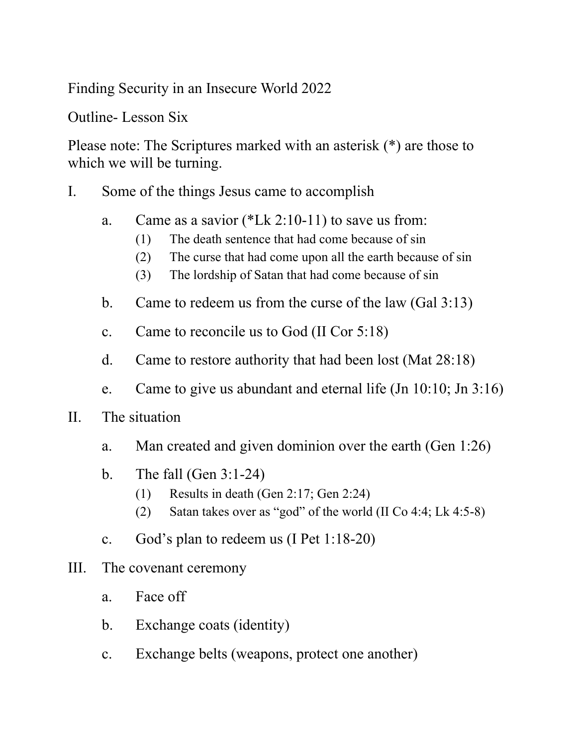Finding Security in an Insecure World 2022

Outline- Lesson Six

Please note: The Scriptures marked with an asterisk (\*) are those to which we will be turning.

- I. Some of the things Jesus came to accomplish
	- a. Came as a savior (\*Lk 2:10-11) to save us from:
		- (1) The death sentence that had come because of sin
		- (2) The curse that had come upon all the earth because of sin
		- (3) The lordship of Satan that had come because of sin
	- b. Came to redeem us from the curse of the law (Gal 3:13)
	- c. Came to reconcile us to God (II Cor 5:18)
	- d. Came to restore authority that had been lost (Mat 28:18)
	- e. Came to give us abundant and eternal life (Jn 10:10; Jn 3:16)
- II. The situation
	- a. Man created and given dominion over the earth (Gen 1:26)
	- b. The fall (Gen 3:1-24)
		- (1) Results in death (Gen 2:17; Gen 2:24)
		- (2) Satan takes over as "god" of the world (II Co 4:4; Lk 4:5-8)
	- c. God's plan to redeem us (I Pet 1:18-20)
- III. The covenant ceremony
	- a. Face off
	- b. Exchange coats (identity)
	- c. Exchange belts (weapons, protect one another)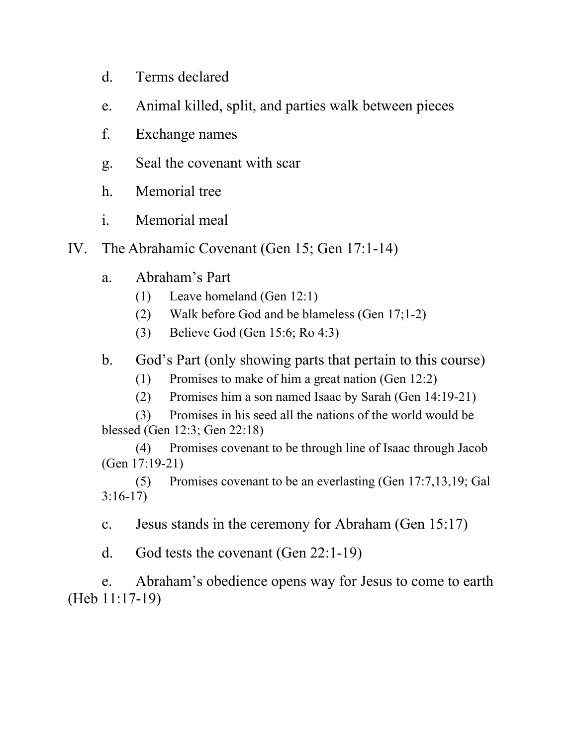- d. Terms declared
- e. Animal killed, split, and parties walk between pieces
- f. Exchange names
- g. Seal the covenant with scar
- h. Memorial tree
- i. Memorial meal
- IV. The Abrahamic Covenant (Gen 15; Gen 17:1-14)
	- a. Abraham's Part
		- (1) Leave homeland (Gen 12:1)
		- (2) Walk before God and be blameless (Gen 17;1-2)
		- (3) Believe God (Gen 15:6; Ro 4:3)
	- b. God's Part (only showing parts that pertain to this course)
		- (1) Promises to make of him a great nation (Gen 12:2)
		- (2) Promises him a son named Isaac by Sarah (Gen 14:19-21)

(3) Promises in his seed all the nations of the world would be blessed (Gen 12:3; Gen 22:18)

(4) Promises covenant to be through line of Isaac through Jacob (Gen 17:19-21)

(5) Promises covenant to be an everlasting (Gen 17:7,13,19; Gal 3:16-17)

c. Jesus stands in the ceremony for Abraham (Gen 15:17)

d. God tests the covenant (Gen 22:1-19)

e. Abraham's obedience opens way for Jesus to come to earth (Heb 11:17-19)